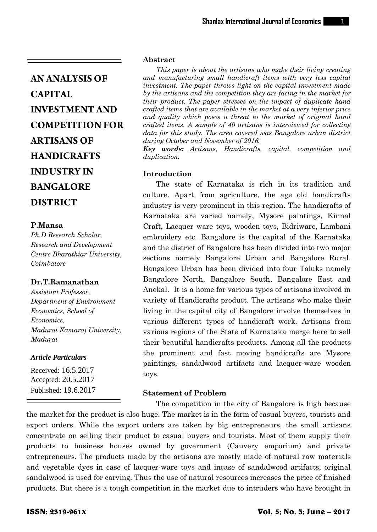## **P.Mansa**

*Ph.D Research Scholar, Research and Development Centre Bharathiar University, Coimbatore*

## **Dr.T.Ramanathan**

*Assistant Professor, Department of Environment Economics, School of Economics, Madurai Kamaraj University, Madurai*

#### *Article Particulars*

Received: 16.5.2017 Accepted: 20.5.2017 Published: 19.6.2017

## **Abstract**

*This paper is about the artisans who make their living creating and manufacturing small handicraft items with very less capital investment. The paper throws light on the capital investment made by the artisans and the competition they are facing in the market for their product. The paper stresses on the impact of duplicate hand crafted items that are available in the market at a very inferior price and quality which poses a threat to the market of original hand crafted items. A sample of 40 artisans is interviewed for collecting data for this study. The area covered was Bangalore urban district during October and November of 2016.*

*Key words: Artisans, Handicrafts, capital, competition and duplication.*

## **Introduction**

The state of Karnataka is rich in its tradition and culture. Apart from agriculture, the age old handicrafts industry is very prominent in this region. The handicrafts of Karnataka are varied namely, Mysore paintings, Kinnal Craft, Lacquer ware toys, wooden toys, Bidriware, Lambani embroidery etc. Bangalore is the capital of the Karnataka and the district of Bangalore has been divided into two major sections namely Bangalore Urban and Bangalore Rural. Bangalore Urban has been divided into four Taluks namely Bangalore North, Bangalore South, Bangalore East and Anekal. It is a home for various types of artisans involved in variety of Handicrafts product. The artisans who make their living in the capital city of Bangalore involve themselves in various different types of handicraft work. Artisans from various regions of the State of Karnataka merge here to sell their beautiful handicrafts products. Among all the products the prominent and fast moving handicrafts are Mysore paintings, sandalwood artifacts and lacquer-ware wooden toys.

## **Statement of Problem**

The competition in the city of Bangalore is high because the market for the product is also huge. The market is in the form of casual buyers, tourists and export orders. While the export orders are taken by big entrepreneurs, the small artisans concentrate on selling their product to casual buyers and tourists. Most of them supply their products to business houses owned by government (Cauvery emporium) and private entrepreneurs. The products made by the artisans are mostly made of natural raw materials and vegetable dyes in case of lacquer-ware toys and incase of sandalwood artifacts, original sandalwood is used for carving. Thus the use of natural resources increases the price of finished products. But there is a tough competition in the market due to intruders who have brought in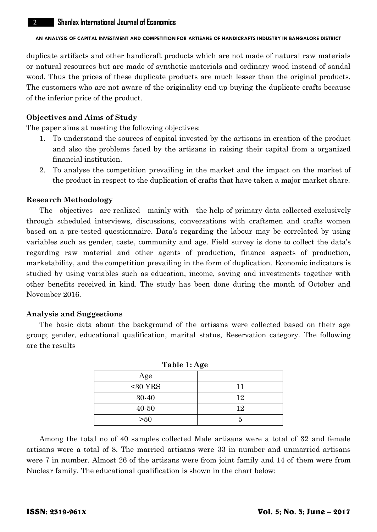duplicate artifacts and other handicraft products which are not made of natural raw materials or natural resources but are made of synthetic materials and ordinary wood instead of sandal wood. Thus the prices of these duplicate products are much lesser than the original products. The customers who are not aware of the originality end up buying the duplicate crafts because of the inferior price of the product.

## **Objectives and Aims of Study**

The paper aims at meeting the following objectives:

- 1. To understand the sources of capital invested by the artisans in creation of the product and also the problems faced by the artisans in raising their capital from a organized financial institution.
- 2. To analyse the competition prevailing in the market and the impact on the market of the product in respect to the duplication of crafts that have taken a major market share.

#### **Research Methodology**

The objectives are realized mainly with the help of primary data collected exclusively through scheduled interviews, discussions, conversations with craftsmen and crafts women based on a pre-tested questionnaire. Data's regarding the labour may be correlated by using variables such as gender, caste, community and age. Field survey is done to collect the data's regarding raw material and other agents of production, finance aspects of production, marketability, and the competition prevailing in the form of duplication. Economic indicators is studied by using variables such as education, income, saving and investments together with other benefits received in kind. The study has been done during the month of October and November 2016.

### **Analysis and Suggestions**

The basic data about the background of the artisans were collected based on their age group; gender, educational qualification, marital status, Reservation category. The following are the results

| Table 1: Age |    |  |  |
|--------------|----|--|--|
| Age          |    |  |  |
| $30 YRS$     | 11 |  |  |
| 30-40        | 12 |  |  |
| 40-50        | 12 |  |  |
| >50          |    |  |  |

**Table 1: 1: Age** 

Among the total no of 40 samples collected Male artisans were a total of 32 and female artisans were a total of 8. The married artisans were 33 in number and unmarried artisans were 7 in number. Almost 26 of the artisans were from joint family and 14 of them were from Nuclear family. The educational qualification is shown in the chart below: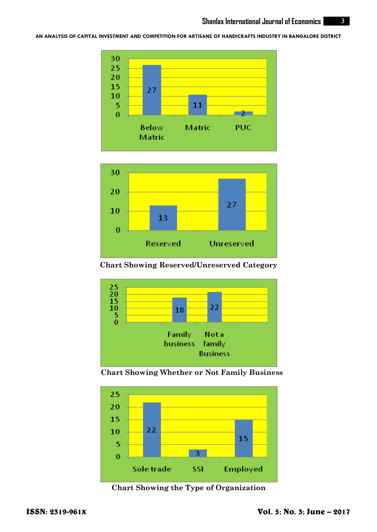



**Chart Showing Reserved/Unreserved Category**



**Chart Showing Whether or Not Family Business**



**Chart Showing the Type of Organization**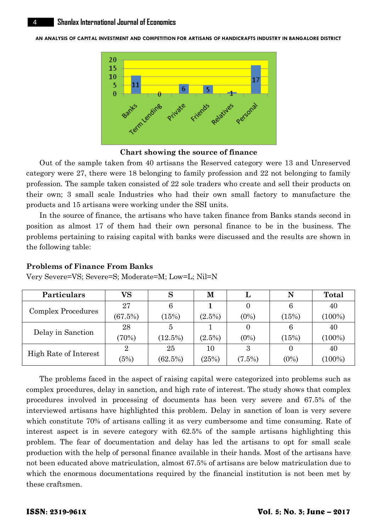

**Chart showing the source of finance**

Out of the sample taken from 40 artisans the Reserved category were 13 and Unreserved category were 27, there were 18 belonging to family profession and 22 not belonging to family profession. The sample taken consisted of 22 sole traders who create and sell their products on their own; 3 small scale Industries who had their own small factory to manufacture the products and 15 artisans were working under the SSI units.

In the source of finance, the artisans who have taken finance from Banks stands second in position as almost 17 of them had their own personal finance to be in the business. The problems pertaining to raising capital with banks were discussed and the results are shown in the following table:

| <b>Particulars</b>    | VS      |            | М         |           | N        | <b>Total</b> |
|-----------------------|---------|------------|-----------|-----------|----------|--------------|
| Complex Procedures    | 27      | 6          |           |           | 6        | 40           |
|                       | (67.5%) | (15%)      | $(2.5\%)$ | $(0\%)$   | (15%)    | $(100\%)$    |
| Delay in Sanction     | 28      |            |           |           | 6        | 40           |
|                       | (70%)   | $(12.5\%)$ | $(2.5\%)$ | $(0\%)$   | (15%)    | $(100\%)$    |
| High Rate of Interest |         | 25         | 10        | З         | $\theta$ | 40           |
|                       | (5%)    | (62.5%)    | (25%)     | $(7.5\%)$ | $(0\%)$  | $(100\%)$    |

**Problems of Finance From Banks**

Very Severe=VS; Severe=S; Moderate=M; Low=L; Nil=N

The problems faced in the aspect of raising capital were categorized into problems such as complex procedures, delay in sanction, and high rate of interest. The study shows that complex procedures involved in processing of documents has been very severe and 67.5% of the interviewed artisans have highlighted this problem. Delay in sanction of loan is very severe which constitute 70% of artisans calling it as very cumbersome and time consuming. Rate of interest aspect is in severe category with 62.5% of the sample artisans highlighting this problem. The fear of documentation and delay has led the artisans to opt for small scale production with the help of personal finance available in their hands. Most of the artisans have not been educated above matriculation, almost 67.5% of artisans are below matriculation due to which the enormous documentations required by the financial institution is not been met by these craftsmen.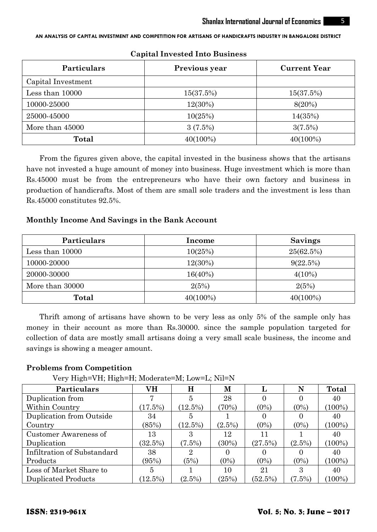| <b>Particulars</b> | Previous year | <b>Current Year</b> |  |  |
|--------------------|---------------|---------------------|--|--|
| Capital Investment |               |                     |  |  |
| Less than 10000    | 15(37.5%)     | 15(37.5%)           |  |  |
| 10000-25000        | 12(30%)       | 8(20%)              |  |  |
| 25000-45000        | 10(25%)       | 14(35%)             |  |  |
| More than 45000    | 3(7.5%)       | 3(7.5%)             |  |  |
| <b>Total</b>       | 40(100%)      | 40(100%)            |  |  |

## **Capital Invested Into Business**

From the figures given above, the capital invested in the business shows that the artisans have not invested a huge amount of money into business. Huge investment which is more than Rs.45000 must be from the entrepreneurs who have their own factory and business in production of handicrafts. Most of them are small sole traders and the investment is less than Rs.45000 constitutes 92.5%.

## **Monthly Income And Savings in the Bank Account**

| Particulars     | <b>Income</b> | Savings   |  |  |
|-----------------|---------------|-----------|--|--|
| Less than 10000 | 10(25%)       | 25(62.5%) |  |  |
| 10000-20000     | $12(30\%)$    | 9(22.5%)  |  |  |
| 20000-30000     | 16(40%)       | $4(10\%)$ |  |  |
| More than 30000 | 2(5%)         | 2(5%)     |  |  |
| Total           | $40(100\%)$   | 40(100%)  |  |  |

Thrift among of artisans have shown to be very less as only 5% of the sample only has money in their account as more than Rs.30000. since the sample population targeted for collection of data are mostly small artisans doing a very small scale business, the income and savings is showing a meager amount.

## **Problems from Competition**

Very High=VH; High=H; Moderate=M; Low=L; Nil=N

| Particulars                 | VН       | Н              | М         |            | N         | <b>Total</b> |
|-----------------------------|----------|----------------|-----------|------------|-----------|--------------|
| Duplication from            |          | 5              | 28        |            |           | 40           |
| Within Country              | (17.5%)  | (12.5%)        | (70%)     | $(0\%)$    | $(0\%)$   | $(100\%)$    |
| Duplication from Outside    | 34       | 5              |           |            |           | 40           |
| Country                     | (85%)    | (12.5%)        | $(2.5\%)$ | $(0\%)$    | $(0\%)$   | $(100\%)$    |
| Customer Awareness of       | 13       |                | 12        | 11         |           | 40           |
| Duplication                 | (32.5%)  | (7.5%)         | $(30\%)$  | (27.5%)    | $(2.5\%)$ | $(100\%)$    |
| Infiltration of Substandard | 38       | $\overline{2}$ |           |            |           | 40           |
| Products                    | (95%)    | (5%)           | $(0\%)$   | $(0\%)$    | $(0\%)$   | $(100\%)$    |
| Loss of Market Share to     | 5        |                | 10        | 21         | З         | 40           |
| <b>Duplicated Products</b>  | $12.5\%$ | $(2.5\%)$      | (25%)     | $(52.5\%)$ | (7.5%)    | $(100\%)$    |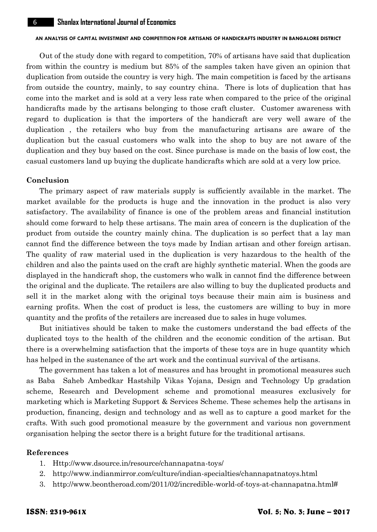Out of the study done with regard to competition, 70% of artisans have said that duplication from within the country is medium but 85% of the samples taken have given an opinion that duplication from outside the country is very high. The main competition is faced by the artisans from outside the country, mainly, to say country china. There is lots of duplication that has come into the market and is sold at a very less rate when compared to the price of the original handicrafts made by the artisans belonging to those craft cluster. Customer awareness with regard to duplication is that the importers of the handicraft are very well aware of the duplication , the retailers who buy from the manufacturing artisans are aware of the duplication but the casual customers who walk into the shop to buy are not aware of the duplication and they buy based on the cost. Since purchase is made on the basis of low cost, the casual customers land up buying the duplicate handicrafts which are sold at a very low price.

#### **Conclusion**

The primary aspect of raw materials supply is sufficiently available in the market. The market available for the products is huge and the innovation in the product is also very satisfactory. The availability of finance is one of the problem areas and financial institution should come forward to help these artisans. The main area of concern is the duplication of the product from outside the country mainly china. The duplication is so perfect that a lay man cannot find the difference between the toys made by Indian artisan and other foreign artisan. The quality of raw material used in the duplication is very hazardous to the health of the children and also the paints used on the craft are highly synthetic material. When the goods are displayed in the handicraft shop, the customers who walk in cannot find the difference between the original and the duplicate. The retailers are also willing to buy the duplicated products and sell it in the market along with the original toys because their main aim is business and earning profits. When the cost of product is less, the customers are willing to buy in more quantity and the profits of the retailers are increased due to sales in huge volumes.

But initiatives should be taken to make the customers understand the bad effects of the duplicated toys to the health of the children and the economic condition of the artisan. But there is a overwhelming satisfaction that the imports of these toys are in huge quantity which has helped in the sustenance of the art work and the continual survival of the artisans.

The government has taken a lot of measures and has brought in promotional measures such as Baba Saheb Ambedkar Hastshilp Vikas Yojana, Design and Technology Up gradation scheme, Research and Development scheme and promotional measures exclusively for marketing which is Marketing Support & Services Scheme. These schemes help the artisans in production, financing, design and technology and as well as to capture a good market for the crafts. With such good promotional measure by the government and various non government organisation helping the sector there is a bright future for the traditional artisans.

## **References**

- 1. [Http://www.dsource.in/resource/channapatna-toys/](http://www.dsource.in/resource/channapatna-toys/)
- 2. <http://www.indianmirror.com/culture/indian-specialties/channapatnatoys.html>
- 3. [http://www.beontheroad.com/2011/02/incredible-world-of-toys-at-channapatna.html#](http://www.beontheroad.com/2011/02/incredible-world-of-toys-at-channapatna.html)